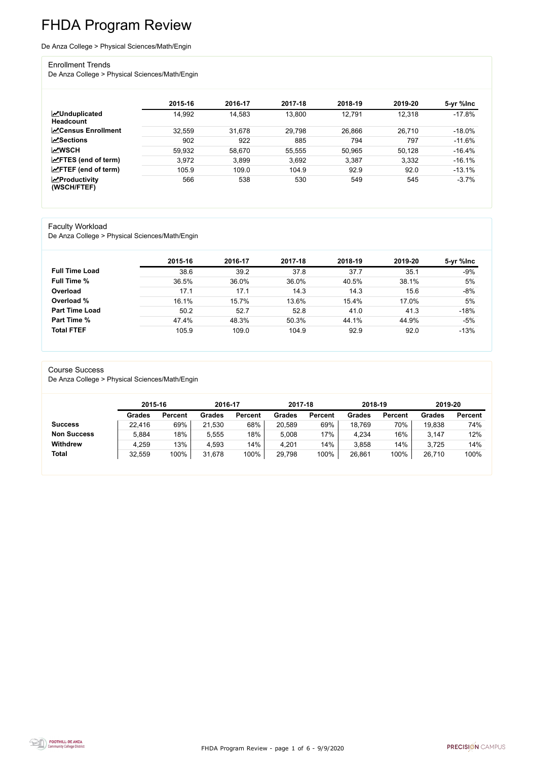FHDA Program Review - page 1 of 6 - 9/9/2020



# FHDA Program Review

#### De Anza College > Physical Sciences/Math/Engin

#### Enrollment Trends

De Anza College > Physical Sciences/Math/Engin

|                                          | 2015-16 | 2016-17 | 2017-18 | 2018-19 | 2019-20 | 5-yr %lnc |
|------------------------------------------|---------|---------|---------|---------|---------|-----------|
| <b>MUnduplicated</b><br><b>Headcount</b> | 14,992  | 14,583  | 13,800  | 12,791  | 12,318  | $-17.8%$  |
| <b>∠</b> Census Enrollment               | 32,559  | 31,678  | 29,798  | 26,866  | 26,710  | $-18.0\%$ |
| <b>ZSections</b>                         | 902     | 922     | 885     | 794     | 797     | $-11.6%$  |
| <b>MWSCH</b>                             | 59,932  | 58,670  | 55,555  | 50,965  | 50,128  | $-16.4%$  |
| $\angle$ FTES (end of term)              | 3,972   | 3,899   | 3,692   | 3,387   | 3,332   | $-16.1%$  |
| $\angle$ FTEF (end of term)              | 105.9   | 109.0   | 104.9   | 92.9    | 92.0    | $-13.1%$  |
| $\chi$ Productivity<br>(WSCH/FTEF)       | 566     | 538     | 530     | 549     | 545     | $-3.7%$   |

#### Faculty Workload

De Anza College > Physical Sciences/Math/Engin

|                       | 2015-16 | 2016-17 | 2017-18 | 2018-19 | 2019-20 | 5-yr %lnc |
|-----------------------|---------|---------|---------|---------|---------|-----------|
| <b>Full Time Load</b> | 38.6    | 39.2    | 37.8    | 37.7    | 35.1    | $-9%$     |
| <b>Full Time %</b>    | 36.5%   | 36.0%   | 36.0%   | 40.5%   | 38.1%   | 5%        |
| Overload              | 17.1    | 17.1    | 14.3    | 14.3    | 15.6    | $-8%$     |
| Overload %            | 16.1%   | 15.7%   | 13.6%   | 15.4%   | 17.0%   | 5%        |
| <b>Part Time Load</b> | 50.2    | 52.7    | 52.8    | 41.0    | 41.3    | $-18%$    |
| <b>Part Time %</b>    | 47.4%   | 48.3%   | 50.3%   | 44.1%   | 44.9%   | $-5%$     |
| <b>Total FTEF</b>     | 105.9   | 109.0   | 104.9   | 92.9    | 92.0    | $-13%$    |

#### Course Success

De Anza College > Physical Sciences/Math/Engin

|                    |               | 2015-16        |               | 2016-17        | 2017-18       |                | 2018-19       |                | 2019-20       |                |
|--------------------|---------------|----------------|---------------|----------------|---------------|----------------|---------------|----------------|---------------|----------------|
|                    | <b>Grades</b> | <b>Percent</b> | <b>Grades</b> | <b>Percent</b> | <b>Grades</b> | <b>Percent</b> | <b>Grades</b> | <b>Percent</b> | <b>Grades</b> | <b>Percent</b> |
| <b>Success</b>     | 22,416        | 69%            | 21,530        | 68%            | 20,589        | 69%            | 18,769        | 70%            | 19,838        | 74%            |
| <b>Non Success</b> | 5,884         | 18%            | 5,555         | 18%            | 5,008         | 17%            | 4,234         | 16%            | 3,147         | 12%            |
| <b>Withdrew</b>    | 4,259         | 13%            | 4,593         | 14%            | 4,201         | 14%            | 3,858         | 14%            | 3,725         | 14%            |
| <b>Total</b>       | 32,559        | 100%           | 31,678        | 100%           | 29,798        | 100%           | 26,861        | 100%           | 26,710        | 100%           |

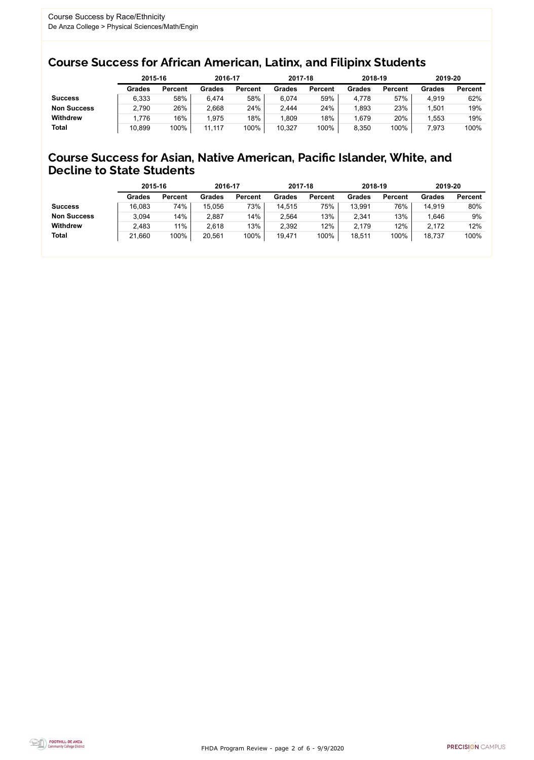FHDA Program Review - page 2 of 6 - 9/9/2020



## Course Success for African American, Latinx, and Filipinx Students

### Course Success for Asian, Native American, Pacific Islander, White, and Decline to State Students

|                    | 2015-16       |                | 2016-17       |                | 2017-18       |                | 2018-19       |                | 2019-20       |                |
|--------------------|---------------|----------------|---------------|----------------|---------------|----------------|---------------|----------------|---------------|----------------|
|                    | <b>Grades</b> | <b>Percent</b> | <b>Grades</b> | <b>Percent</b> | <b>Grades</b> | <b>Percent</b> | <b>Grades</b> | <b>Percent</b> | <b>Grades</b> | <b>Percent</b> |
| <b>Success</b>     | 6,333         | 58%            | 6,474         | 58%            | 6,074         | 59%            | 4,778         | 57%            | 4,919         | 62%            |
| <b>Non Success</b> | 2,790         | 26%            | 2,668         | 24%            | 2,444         | 24%            | .893          | 23%            | 501.ا         | 19%            |
| <b>Withdrew</b>    | 1,776         | 16%            | 1,975         | 18%            | 1,809         | 18%            | .679          | 20%            | 1,553         | 19%            |
| <b>Total</b>       | 10,899        | 100%           | 11,117        | 100%           | 10,327        | 100%           | 8,350         | 100%           | 7,973         | 100%           |

|                    | 2015-16       |                | 2016-17       |                | 2017-18       |                | 2018-19       |                | 2019-20       |                |
|--------------------|---------------|----------------|---------------|----------------|---------------|----------------|---------------|----------------|---------------|----------------|
|                    | <b>Grades</b> | <b>Percent</b> | <b>Grades</b> | <b>Percent</b> | <b>Grades</b> | <b>Percent</b> | <b>Grades</b> | <b>Percent</b> | <b>Grades</b> | <b>Percent</b> |
| <b>Success</b>     | 16,083        | 74%            | 15,056        | 73%            | 14,515        | 75%            | 13,991        | 76%            | 14,919        | 80%            |
| <b>Non Success</b> | 3,094         | 14%            | 2,887         | 14%            | 2,564         | 13%            | 2,341         | 13%            | .646          | 9%             |
| <b>Withdrew</b>    | 2,483         | 11%            | 2,618         | 13%            | 2,392         | 12%            | 2,179         | 12%            | 2,172         | 12%            |
| <b>Total</b>       | 21,660        | 100%           | 20,561        | 100%           | 19,471        | 100%           | 18,511        | 100%           | 18,737        | 100%           |
|                    |               |                |               |                |               |                |               |                |               |                |

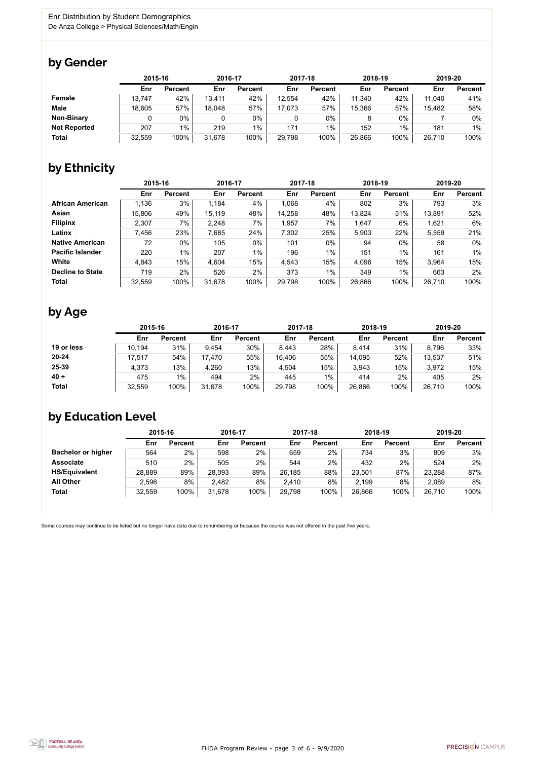FHDA Program Review - page 3 of 6 - 9/9/2020



Some courses may continue to be listed but no longer have data due to renumbering or because the course was not offered in the past five years.



## by Gender

|                     |        | 2015-16        |        | 2016-17        |        | 2017-18        |        | 2018-19        | 2019-20 |                |
|---------------------|--------|----------------|--------|----------------|--------|----------------|--------|----------------|---------|----------------|
|                     | Enr    | <b>Percent</b> | Enr    | <b>Percent</b> | Enr    | <b>Percent</b> | Enr    | <b>Percent</b> | Enr     | <b>Percent</b> |
| <b>Female</b>       | 13,747 | 42%            | 13,411 | 42%            | 12,554 | 42%            | 11,340 | 42%            | 11,040  | 41%            |
| <b>Male</b>         | 18,605 | 57%            | 18,048 | 57%            | 17,073 | 57%            | 15,366 | 57%            | 15,482  | 58%            |
| <b>Non-Binary</b>   |        | 0%             |        | 0%             | 0      | 0%             |        | $0\%$          |         | 0%             |
| <b>Not Reported</b> | 207    | $1\%$          | 219    | $1\%$          | 171    | $1\%$          | 152    | 1%             | 181     | 1%             |
| <b>Total</b>        | 32,559 | 100%           | 31,678 | 100%           | 29,798 | 100%           | 26,866 | 100%           | 26,710  | 100%           |

## by Ethnicity

|                         |        | 2015-16        |        | 2016-17        |        | 2017-18        | 2018-19 |                | 2019-20 |                |
|-------------------------|--------|----------------|--------|----------------|--------|----------------|---------|----------------|---------|----------------|
|                         | Enr    | <b>Percent</b> | Enr    | <b>Percent</b> | Enr    | <b>Percent</b> | Enr     | <b>Percent</b> | Enr     | <b>Percent</b> |
| <b>African American</b> | 1,136  | 3%             | 1,184  | 4%             | 1,068  | 4%             | 802     | 3%             | 793     | 3%             |
| Asian                   | 15,806 | 49%            | 15,119 | 48%            | 14,258 | 48%            | 13,824  | 51%            | 13,891  | 52%            |
| <b>Filipinx</b>         | 2,307  | 7%             | 2,248  | 7%             | 1,957  | 7%             | 1,647   | 6%             | 1,621   | 6%             |
| Latinx                  | 7,456  | 23%            | 7,685  | 24%            | 7,302  | 25%            | 5,903   | 22%            | 5,559   | 21%            |
| <b>Native American</b>  | 72     | $0\%$          | 105    | 0%             | 101    | 0%             | 94      | $0\%$          | 58      | 0%             |
| <b>Pacific Islander</b> | 220    | $1\%$          | 207    | $1\%$          | 196    | $1\%$          | 151     | 1%             | 161     | $1\%$          |
| White                   | 4,843  | 15%            | 4,604  | 15%            | 4,543  | 15%            | 4,096   | 15%            | 3,964   | 15%            |
| <b>Decline to State</b> | 719    | 2%             | 526    | 2%             | 373    | $1\%$          | 349     | $1\%$          | 663     | 2%             |
| <b>Total</b>            | 32,559 | 100%           | 31,678 | 100%           | 29,798 | 100%           | 26,866  | 100%           | 26,710  | 100%           |

## by Age

|              | 2015-16 |                | 2016-17 |                | 2017-18 |                | 2018-19 |                | 2019-20 |                |
|--------------|---------|----------------|---------|----------------|---------|----------------|---------|----------------|---------|----------------|
|              | Enr     | <b>Percent</b> | Enr     | <b>Percent</b> | Enr     | <b>Percent</b> | Enr     | <b>Percent</b> | Enr     | <b>Percent</b> |
| 19 or less   | 10,194  | 31%            | 9,454   | 30%            | 8,443   | 28%            | 8,414   | 31%            | 8,796   | 33%            |
| $20 - 24$    | 17,517  | 54%            | 17,470  | 55%            | 16,406  | 55%            | 14,095  | 52%            | 13,537  | 51%            |
| 25-39        | 4,373   | 13%            | 4,260   | 13%            | 4,504   | 15%            | 3,943   | 15%            | 3,972   | 15%            |
| $40 +$       | 475     | $1\%$          | 494     | 2%             | 445     | 1%             | 414     | 2%             | 405     | 2%             |
| <b>Total</b> | 32,559  | 100%           | 31,678  | 100%           | 29,798  | 100%           | 26,866  | 100%           | 26,710  | 100%           |

## by Education Level

|                           | 2015-16 |                | 2016-17 |                | 2017-18 |                | 2018-19 |                | 2019-20 |                |
|---------------------------|---------|----------------|---------|----------------|---------|----------------|---------|----------------|---------|----------------|
|                           | Enr     | <b>Percent</b> | Enr     | <b>Percent</b> | Enr     | <b>Percent</b> | Enr     | <b>Percent</b> | Enr     | <b>Percent</b> |
| <b>Bachelor or higher</b> | 564     | $2\%$          | 598     | $2\%$          | 659     | $2\%$          | 734     | 3%             | 809     | 3%             |
| <b>Associate</b>          | 510     | 2%             | 505     | 2%             | 544     | 2%             | 432     | 2%             | 524     | 2%             |
| <b>HS/Equivalent</b>      | 28,889  | 89%            | 28,093  | 89%            | 26,185  | 88%            | 23,501  | 87%            | 23,288  | 87%            |
| <b>All Other</b>          | 2,596   | 8%             | 2,482   | 8%             | 2,410   | 8%             | 2,199   | 8%             | 2,089   | 8%             |
| <b>Total</b>              | 32,559  | 100%           | 31,678  | 100%           | 29,798  | 100%           | 26,866  | 100%           | 26,710  | 100%           |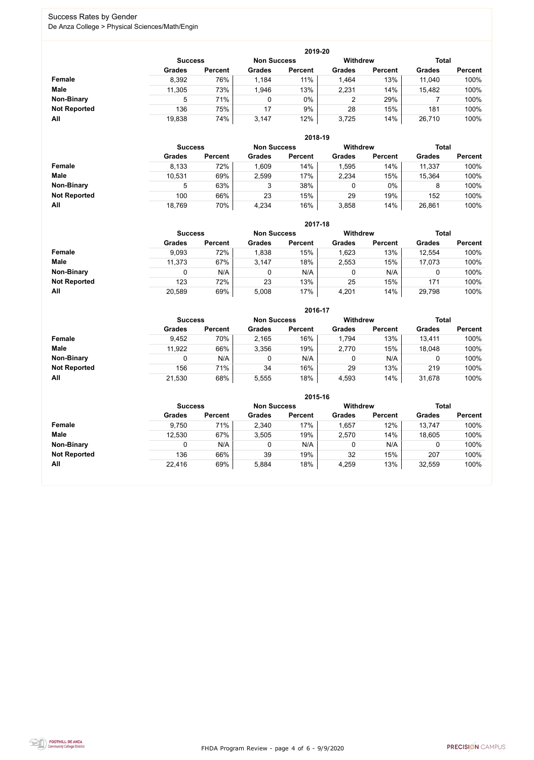FHDA Program Review - page 4 of 6 - 9/9/2020



### Success Rates by Gender De Anza College > Physical Sciences/Math/Engin

|                     |                | 2019-20        |                    |                |                 |                |               |                |  |  |  |  |  |  |
|---------------------|----------------|----------------|--------------------|----------------|-----------------|----------------|---------------|----------------|--|--|--|--|--|--|
|                     | <b>Success</b> |                | <b>Non Success</b> |                | <b>Withdrew</b> |                | <b>Total</b>  |                |  |  |  |  |  |  |
|                     | <b>Grades</b>  | <b>Percent</b> | <b>Grades</b>      | <b>Percent</b> | <b>Grades</b>   | <b>Percent</b> | <b>Grades</b> | <b>Percent</b> |  |  |  |  |  |  |
| <b>Female</b>       | 8,392          | 76%            | 1,184              | 11%            | 1,464           | 13%            | 11,040        | 100%           |  |  |  |  |  |  |
| <b>Male</b>         | 11,305         | 73%            | 1,946              | 13%            | 2,231           | 14%            | 15,482        | 100%           |  |  |  |  |  |  |
| <b>Non-Binary</b>   | 5              | 71%            |                    | $0\%$          |                 | 29%            |               | 100%           |  |  |  |  |  |  |
| <b>Not Reported</b> | 136            | 75%            | 17                 | 9%             | 28              | 15%            | 181           | 100%           |  |  |  |  |  |  |
| All                 | 19,838         | 74%            | 3,147              | 12%            | 3,725           | 14%            | 26,710        | 100%           |  |  |  |  |  |  |

|                     |                | 2018-19        |                    |                |                 |                |               |                |  |  |  |  |  |
|---------------------|----------------|----------------|--------------------|----------------|-----------------|----------------|---------------|----------------|--|--|--|--|--|
|                     | <b>Success</b> |                | <b>Non Success</b> |                | <b>Withdrew</b> |                | <b>Total</b>  |                |  |  |  |  |  |
|                     | <b>Grades</b>  | <b>Percent</b> | <b>Grades</b>      | <b>Percent</b> | <b>Grades</b>   | <b>Percent</b> | <b>Grades</b> | <b>Percent</b> |  |  |  |  |  |
| Female              | 8,133          | 72%            | 1,609              | 14%            | 1,595           | 14%            | 11,337        | 100%           |  |  |  |  |  |
| <b>Male</b>         | 10,531         | 69%            | 2,599              | 17%            | 2,234           | 15%            | 15,364        | 100%           |  |  |  |  |  |
| <b>Non-Binary</b>   | 5              | 63%            | ◠<br>J             | 38%            | 0               | $0\%$          | 8             | 100%           |  |  |  |  |  |
| <b>Not Reported</b> | 100            | 66%            | 23                 | 15%            | 29              | 19%            | 152           | 100%           |  |  |  |  |  |
| All                 | 18,769         | 70%            | 4,234              | 16%            | 3,858           | 14%            | 26,861        | 100%           |  |  |  |  |  |

|                     |               | 2017-18                              |               |                |               |                |               |                |  |  |  |  |  |  |
|---------------------|---------------|--------------------------------------|---------------|----------------|---------------|----------------|---------------|----------------|--|--|--|--|--|--|
|                     |               | <b>Non Success</b><br><b>Success</b> |               |                |               |                | <b>Total</b>  |                |  |  |  |  |  |  |
|                     | <b>Grades</b> | <b>Percent</b>                       | <b>Grades</b> | <b>Percent</b> | <b>Grades</b> | <b>Percent</b> | <b>Grades</b> | <b>Percent</b> |  |  |  |  |  |  |
| Female              | 9,093         | 72%                                  | 1,838         | 15%            | 1,623         | 13%            | 12,554        | 100%           |  |  |  |  |  |  |
| <b>Male</b>         | 11,373        | 67%                                  | 3,147         | 18%            | 2,553         | 15%            | 17,073        | 100%           |  |  |  |  |  |  |
| <b>Non-Binary</b>   | 0             | N/A                                  | 0             | N/A            | 0             | N/A            | 0             | 100%           |  |  |  |  |  |  |
| <b>Not Reported</b> | 123           | 72%                                  | 23            | 13%            | 25            | 15%            | 171           | 100%           |  |  |  |  |  |  |
| All                 | 20,589        | 69%                                  | 5,008         | 17%            | 4,201         | 14%            | 29,798        | 100%           |  |  |  |  |  |  |

|                     |                |                |                    | 2016-17        |                 |                |               |                |
|---------------------|----------------|----------------|--------------------|----------------|-----------------|----------------|---------------|----------------|
|                     | <b>Success</b> |                | <b>Non Success</b> |                | <b>Withdrew</b> |                | <b>Total</b>  |                |
|                     | <b>Grades</b>  | <b>Percent</b> | <b>Grades</b>      | <b>Percent</b> | <b>Grades</b>   | <b>Percent</b> | <b>Grades</b> | <b>Percent</b> |
| Female              | 9,452          | 70%            | 2,165              | 16%            | 1,794           | 13%            | 13,411        | 100%           |
| <b>Male</b>         | 11,922         | 66%            | 3,356              | 19%            | 2,770           | 15%            | 18,048        | 100%           |
| <b>Non-Binary</b>   | 0              | N/A            |                    | N/A            | 0               | N/A            |               | 100%           |
| <b>Not Reported</b> | 156            | 71%            | 34                 | 16%            | 29              | 13%            | 219           | 100%           |
| All                 | 21,530         | 68%            | 5,555              | 18%            | 4,593           | 14%            | 31,678        | 100%           |

|                     |                                                         | 2015-16        |               |                |               |                |               |                |  |
|---------------------|---------------------------------------------------------|----------------|---------------|----------------|---------------|----------------|---------------|----------------|--|
|                     | <b>Withdrew</b><br><b>Non Success</b><br><b>Success</b> |                |               |                |               |                |               | <b>Total</b>   |  |
|                     | <b>Grades</b>                                           | <b>Percent</b> | <b>Grades</b> | <b>Percent</b> | <b>Grades</b> | <b>Percent</b> | <b>Grades</b> | <b>Percent</b> |  |
| Female              | 9,750                                                   | 71%            | 2,340         | 17%            | 1,657         | 12%            | 13,747        | 100%           |  |
| <b>Male</b>         | 12,530                                                  | 67%            | 3,505         | 19%            | 2,570         | 14%            | 18,605        | 100%           |  |
| <b>Non-Binary</b>   |                                                         | N/A            | 0             | N/A            |               | N/A            | 0             | 100%           |  |
| <b>Not Reported</b> | 136                                                     | 66%            | 39            | 19%            | 32            | 15%            | 207           | 100%           |  |
| All                 | 22,416                                                  | 69%            | 5,884         | 18%            | 4,259         | 13%            | 32,559        | 100%           |  |

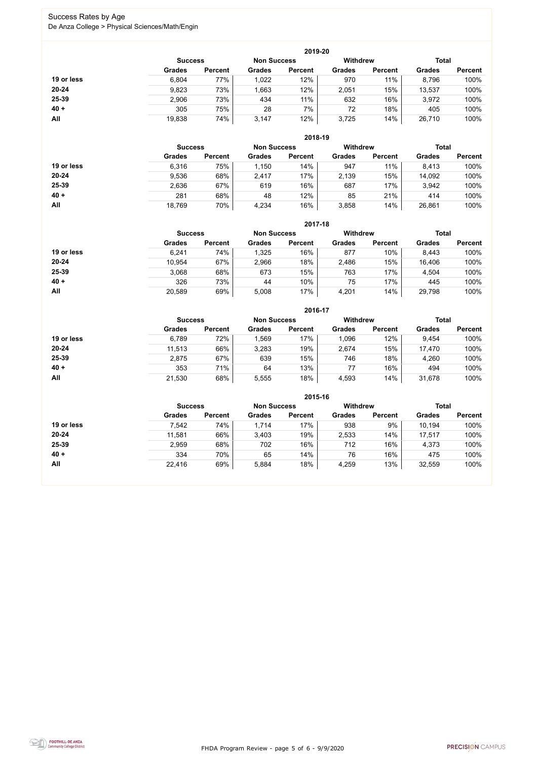FHDA Program Review - page 5 of 6 - 9/9/2020



#### Success Rates by Age De Anza College > Physical Sciences/Math/Engin

|            |                |                    |               | 2019-20         |               |                |               |                |
|------------|----------------|--------------------|---------------|-----------------|---------------|----------------|---------------|----------------|
|            | <b>Success</b> | <b>Non Success</b> |               | <b>Withdrew</b> |               | <b>Total</b>   |               |                |
|            | <b>Grades</b>  | <b>Percent</b>     | <b>Grades</b> | <b>Percent</b>  | <b>Grades</b> | <b>Percent</b> | <b>Grades</b> | <b>Percent</b> |
| 19 or less | 6,804          | 77%                | 1,022         | 12%             | 970           | 11%            | 8,796         | 100%           |
| $20 - 24$  | 9,823          | 73%                | 1,663         | 12%             | 2,051         | 15%            | 13,537        | 100%           |
| 25-39      | 2,906          | 73%                | 434           | 11%             | 632           | 16%            | 3,972         | 100%           |
| $40 +$     | 305            | 75%                | 28            | 7%              | 72            | 18%            | 405           | 100%           |
| All        | 19,838         | 74%                | 3,147         | 12%             | 3,725         | 14%            | 26,710        | 100%           |

|            |                |                    |               | 2018-19         |               |                |               |                |
|------------|----------------|--------------------|---------------|-----------------|---------------|----------------|---------------|----------------|
|            | <b>Success</b> | <b>Non Success</b> |               | <b>Withdrew</b> |               | <b>Total</b>   |               |                |
|            | <b>Grades</b>  | <b>Percent</b>     | <b>Grades</b> | <b>Percent</b>  | <b>Grades</b> | <b>Percent</b> | <b>Grades</b> | <b>Percent</b> |
| 19 or less | 6,316          | 75%                | 1,150         | 14%             | 947           | 11%            | 8,413         | 100%           |
| $20 - 24$  | 9,536          | 68%                | 2,417         | 17%             | 2,139         | 15%            | 14,092        | 100%           |
| 25-39      | 2,636          | 67%                | 619           | 16%             | 687           | 17%            | 3,942         | 100%           |
| $40 +$     | 281            | 68%                | 48            | 12%             | 85            | 21%            | 414           | 100%           |
| All        | 18,769         | 70%                | 4,234         | 16%             | 3,858         | 14%            | 26,861        | 100%           |

|            |                                                                         |                |               | 2017-18        |               |                |               |                |
|------------|-------------------------------------------------------------------------|----------------|---------------|----------------|---------------|----------------|---------------|----------------|
|            | <b>Total</b><br><b>Withdrew</b><br><b>Non Success</b><br><b>Success</b> |                |               |                |               |                |               |                |
|            | <b>Grades</b>                                                           | <b>Percent</b> | <b>Grades</b> | <b>Percent</b> | <b>Grades</b> | <b>Percent</b> | <b>Grades</b> | <b>Percent</b> |
| 19 or less | 6,241                                                                   | 74%            | 1,325         | 16%            | 877           | 10%            | 8,443         | 100%           |
| $20 - 24$  | 10,954                                                                  | 67%            | 2,966         | 18%            | 2,486         | 15%            | 16,406        | 100%           |
| $25 - 39$  | 3,068                                                                   | 68%            | 673           | 15%            | 763           | 17%            | 4,504         | 100%           |
| $40 +$     | 326                                                                     | 73%            | 44            | 10%            | 75            | 17%            | 445           | 100%           |
| All        | 20,589                                                                  | 69%            | 5,008         | 17%            | 4,201         | 14%            | 29,798        | 100%           |

|            |                |                |                    | 2016-17        |                 |                |               |                |
|------------|----------------|----------------|--------------------|----------------|-----------------|----------------|---------------|----------------|
|            | <b>Success</b> |                | <b>Non Success</b> |                | <b>Withdrew</b> |                | <b>Total</b>  |                |
|            | <b>Grades</b>  | <b>Percent</b> | <b>Grades</b>      | <b>Percent</b> | <b>Grades</b>   | <b>Percent</b> | <b>Grades</b> | <b>Percent</b> |
| 19 or less | 6,789          | 72%            | ,569               | 17%            | 1,096           | 12%            | 9,454         | 100%           |
| $20 - 24$  | 11,513         | 66%            | 3,283              | 19%            | 2,674           | 15%            | 17,470        | 100%           |
| 25-39      | 2,875          | 67%            | 639                | 15%            | 746             | 18%            | 4,260         | 100%           |
| $40 +$     | 353            | 71%            | 64                 | 13%            | 77              | 16%            | 494           | 100%           |
| <b>All</b> | 21,530         | 68%            | 5,555              | 18%            | 4,593           | 14%            | 31,678        | 100%           |

|            |                                      |                |               | 2015-16        |               |                 |               |                |
|------------|--------------------------------------|----------------|---------------|----------------|---------------|-----------------|---------------|----------------|
|            | <b>Non Success</b><br><b>Success</b> |                |               |                |               | <b>Withdrew</b> | <b>Total</b>  |                |
|            | <b>Grades</b>                        | <b>Percent</b> | <b>Grades</b> | <b>Percent</b> | <b>Grades</b> | <b>Percent</b>  | <b>Grades</b> | <b>Percent</b> |
| 19 or less | 7,542                                | 74%            | 1,714         | 17%            | 938           | 9%              | 10,194        | 100%           |
| $20 - 24$  | 11,581                               | 66%            | 3,403         | 19%            | 2,533         | 14%             | 17,517        | 100%           |
| 25-39      | 2,959                                | 68%            | 702           | 16%            | 712           | 16%             | 4,373         | 100%           |
| $40 +$     | 334                                  | 70%            | 65            | 14%            | 76            | 16%             | 475           | 100%           |
| All        | 22,416                               | 69%            | 5,884         | 18%            | 4,259         | 13%             | 32,559        | 100%           |